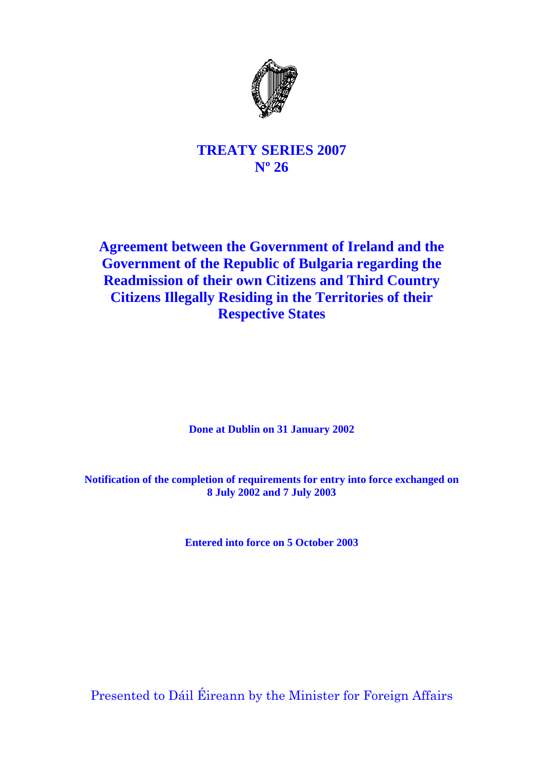

# **TREATY SERIES 2007 Nº 26**

# **Agreement between the Government of Ireland and the Government of the Republic of Bulgaria regarding the Readmission of their own Citizens and Third Country Citizens Illegally Residing in the Territories of their Respective States**

**Done at Dublin on 31 January 2002** 

**Notification of the completion of requirements for entry into force exchanged on 8 July 2002 and 7 July 2003** 

**Entered into force on 5 October 2003**

Presented to Dáil Éireann by the Minister for Foreign Affairs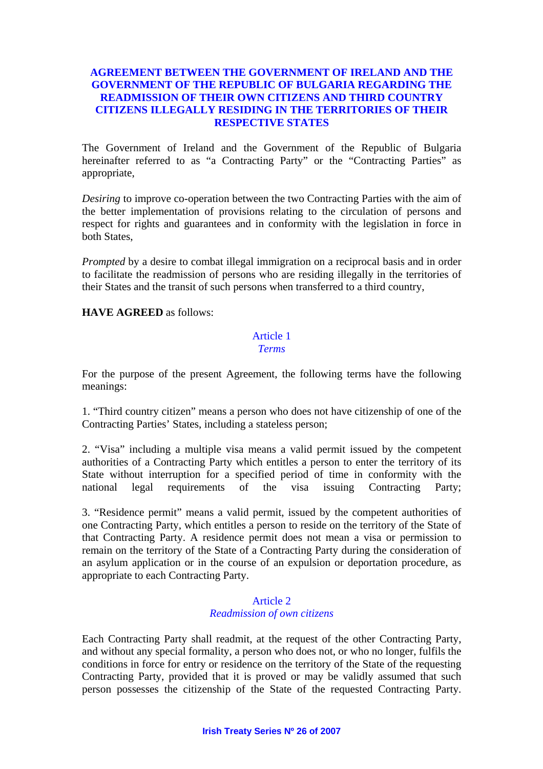## **AGREEMENT BETWEEN THE GOVERNMENT OF IRELAND AND THE GOVERNMENT OF THE REPUBLIC OF BULGARIA REGARDING THE READMISSION OF THEIR OWN CITIZENS AND THIRD COUNTRY CITIZENS ILLEGALLY RESIDING IN THE TERRITORIES OF THEIR RESPECTIVE STATES**

The Government of Ireland and the Government of the Republic of Bulgaria hereinafter referred to as "a Contracting Party" or the "Contracting Parties" as appropriate,

*Desiring* to improve co-operation between the two Contracting Parties with the aim of the better implementation of provisions relating to the circulation of persons and respect for rights and guarantees and in conformity with the legislation in force in both States,

*Prompted* by a desire to combat illegal immigration on a reciprocal basis and in order to facilitate the readmission of persons who are residing illegally in the territories of their States and the transit of such persons when transferred to a third country,

**HAVE AGREED** as follows:

#### Article 1 *Terms*

For the purpose of the present Agreement, the following terms have the following meanings:

1. "Third country citizen" means a person who does not have citizenship of one of the Contracting Parties' States, including a stateless person;

2. "Visa" including a multiple visa means a valid permit issued by the competent authorities of a Contracting Party which entitles a person to enter the territory of its State without interruption for a specified period of time in conformity with the national legal requirements of the visa issuing Contracting Party;

3. "Residence permit" means a valid permit, issued by the competent authorities of one Contracting Party, which entitles a person to reside on the territory of the State of that Contracting Party. A residence permit does not mean a visa or permission to remain on the territory of the State of a Contracting Party during the consideration of an asylum application or in the course of an expulsion or deportation procedure, as appropriate to each Contracting Party.

## Article 2 *Readmission of own citizens*

Each Contracting Party shall readmit, at the request of the other Contracting Party, and without any special formality, a person who does not, or who no longer, fulfils the conditions in force for entry or residence on the territory of the State of the requesting Contracting Party, provided that it is proved or may be validly assumed that such person possesses the citizenship of the State of the requested Contracting Party.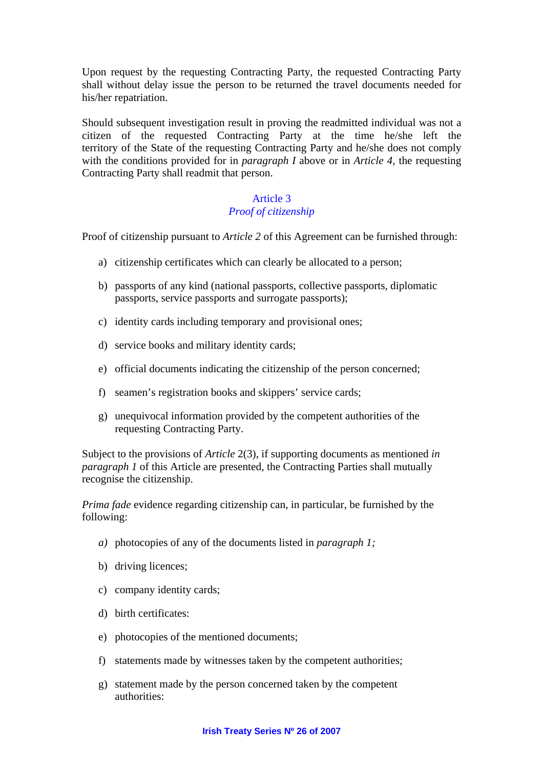Upon request by the requesting Contracting Party, the requested Contracting Party shall without delay issue the person to be returned the travel documents needed for his/her repatriation.

Should subsequent investigation result in proving the readmitted individual was not a citizen of the requested Contracting Party at the time he/she left the territory of the State of the requesting Contracting Party and he/she does not comply with the conditions provided for in *paragraph I* above or in *Article 4*, the requesting Contracting Party shall readmit that person.

## Article 3 *Proof of citizenship*

Proof of citizenship pursuant to *Article 2* of this Agreement can be furnished through:

- a) citizenship certificates which can clearly be allocated to a person;
- b) passports of any kind (national passports, collective passports, diplomatic passports, service passports and surrogate passports);
- c) identity cards including temporary and provisional ones;
- d) service books and military identity cards;
- e) official documents indicating the citizenship of the person concerned;
- f) seamen's registration books and skippers' service cards;
- g) unequivocal information provided by the competent authorities of the requesting Contracting Party.

Subject to the provisions of *Article* 2(3), if supporting documents as mentioned *in paragraph 1* of this Article are presented, the Contracting Parties shall mutually recognise the citizenship.

*Prima fade* evidence regarding citizenship can, in particular, be furnished by the following:

- *a)* photocopies of any of the documents listed in *paragraph 1;*
- b) driving licences;
- c) company identity cards;
- d) birth certificates:
- e) photocopies of the mentioned documents;
- f) statements made by witnesses taken by the competent authorities;
- g) statement made by the person concerned taken by the competent authorities: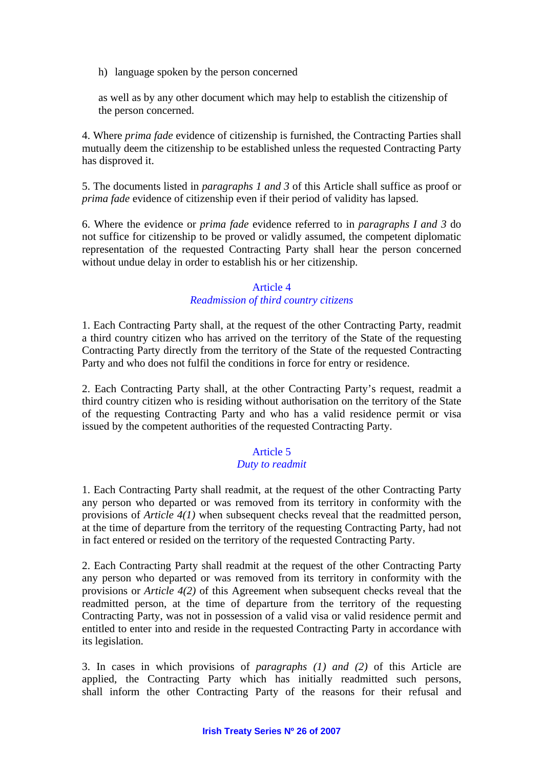h) language spoken by the person concerned

as well as by any other document which may help to establish the citizenship of the person concerned.

4. Where *prima fade* evidence of citizenship is furnished, the Contracting Parties shall mutually deem the citizenship to be established unless the requested Contracting Party has disproved it.

5. The documents listed in *paragraphs 1 and 3* of this Article shall suffice as proof or *prima fade* evidence of citizenship even if their period of validity has lapsed.

6. Where the evidence or *prima fade* evidence referred to in *paragraphs I and 3* do not suffice for citizenship to be proved or validly assumed, the competent diplomatic representation of the requested Contracting Party shall hear the person concerned without undue delay in order to establish his or her citizenship.

## Article 4 *Readmission of third country citizens*

1. Each Contracting Party shall, at the request of the other Contracting Party, readmit a third country citizen who has arrived on the territory of the State of the requesting Contracting Party directly from the territory of the State of the requested Contracting Party and who does not fulfil the conditions in force for entry or residence.

2. Each Contracting Party shall, at the other Contracting Party's request, readmit a third country citizen who is residing without authorisation on the territory of the State of the requesting Contracting Party and who has a valid residence permit or visa issued by the competent authorities of the requested Contracting Party.

## Article 5

## *Duty to readmit*

1. Each Contracting Party shall readmit, at the request of the other Contracting Party any person who departed or was removed from its territory in conformity with the provisions of *Article 4(1)* when subsequent checks reveal that the readmitted person, at the time of departure from the territory of the requesting Contracting Party, had not in fact entered or resided on the territory of the requested Contracting Party.

2. Each Contracting Party shall readmit at the request of the other Contracting Party any person who departed or was removed from its territory in conformity with the provisions or *Article 4(2)* of this Agreement when subsequent checks reveal that the readmitted person, at the time of departure from the territory of the requesting Contracting Party, was not in possession of a valid visa or valid residence permit and entitled to enter into and reside in the requested Contracting Party in accordance with its legislation.

3. In cases in which provisions of *paragraphs (1) and (2)* of this Article are applied, the Contracting Party which has initially readmitted such persons, shall inform the other Contracting Party of the reasons for their refusal and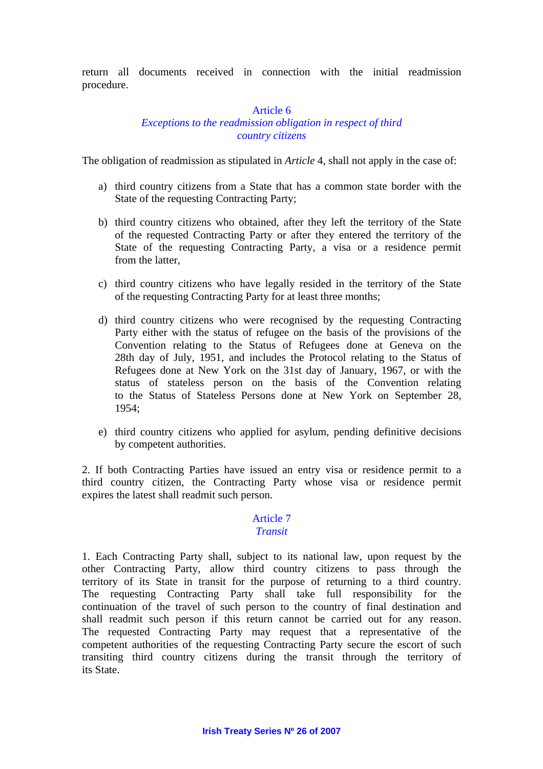return all documents received in connection with the initial readmission procedure.

#### Article 6

## *Exceptions to the readmission obligation in respect of third country citizens*

The obligation of readmission as stipulated in *Article* 4, shall not apply in the case of:

- a) third country citizens from a State that has a common state border with the State of the requesting Contracting Party;
- b) third country citizens who obtained, after they left the territory of the State of the requested Contracting Party or after they entered the territory of the State of the requesting Contracting Party, a visa or a residence permit from the latter,
- c) third country citizens who have legally resided in the territory of the State of the requesting Contracting Party for at least three months;
- d) third country citizens who were recognised by the requesting Contracting Party either with the status of refugee on the basis of the provisions of the Convention relating to the Status of Refugees done at Geneva on the 28th day of July, 1951, and includes the Protocol relating to the Status of Refugees done at New York on the 31st day of January, 1967, or with the status of stateless person on the basis of the Convention relating to the Status of Stateless Persons done at New York on September 28, 1954;
- e) third country citizens who applied for asylum, pending definitive decisions by competent authorities.

2. If both Contracting Parties have issued an entry visa or residence permit to a third country citizen, the Contracting Party whose visa or residence permit expires the latest shall readmit such person.

# Article 7

## *Transit*

1. Each Contracting Party shall, subject to its national law, upon request by the other Contracting Party, allow third country citizens to pass through the territory of its State in transit for the purpose of returning to a third country. The requesting Contracting Party shall take full responsibility for the continuation of the travel of such person to the country of final destination and shall readmit such person if this return cannot be carried out for any reason. The requested Contracting Party may request that a representative of the competent authorities of the requesting Contracting Party secure the escort of such transiting third country citizens during the transit through the territory of its State.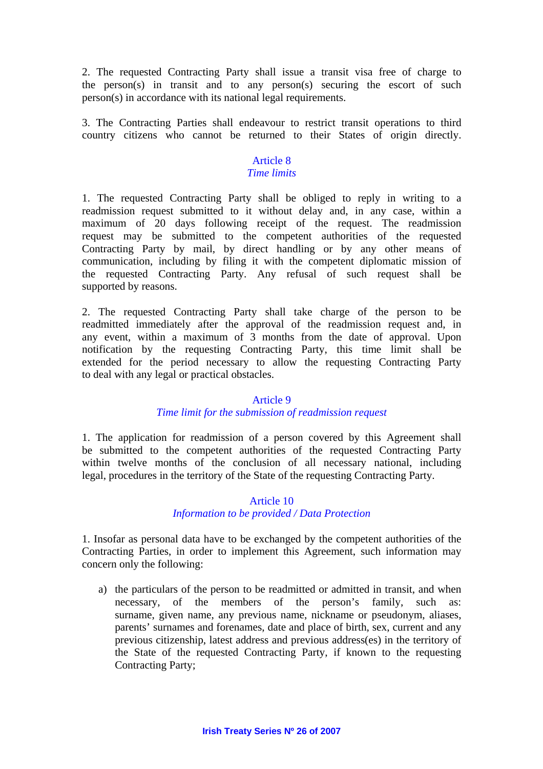2. The requested Contracting Party shall issue a transit visa free of charge to the person(s) in transit and to any person(s) securing the escort of such person(s) in accordance with its national legal requirements.

3. The Contracting Parties shall endeavour to restrict transit operations to third country citizens who cannot be returned to their States of origin directly.

#### Article 8 *Time limits*

1. The requested Contracting Party shall be obliged to reply in writing to a readmission request submitted to it without delay and, in any case, within a maximum of 20 days following receipt of the request. The readmission request may be submitted to the competent authorities of the requested Contracting Party by mail, by direct handling or by any other means of communication, including by filing it with the competent diplomatic mission of the requested Contracting Party. Any refusal of such request shall be supported by reasons.

2. The requested Contracting Party shall take charge of the person to be readmitted immediately after the approval of the readmission request and, in any event, within a maximum of 3 months from the date of approval. Upon notification by the requesting Contracting Party, this time limit shall be extended for the period necessary to allow the requesting Contracting Party to deal with any legal or practical obstacles.

## Article 9

## *Time limit for the submission of readmission request*

1. The application for readmission of a person covered by this Agreement shall be submitted to the competent authorities of the requested Contracting Party within twelve months of the conclusion of all necessary national, including legal, procedures in the territory of the State of the requesting Contracting Party.

### Article 10

#### *Information to be provided / Data Protection*

1. Insofar as personal data have to be exchanged by the competent authorities of the Contracting Parties, in order to implement this Agreement, such information may concern only the following:

a) the particulars of the person to be readmitted or admitted in transit, and when necessary, of the members of the person's family, such as: surname, given name, any previous name, nickname or pseudonym, aliases, parents' surnames and forenames, date and place of birth, sex, current and any previous citizenship, latest address and previous address(es) in the territory of the State of the requested Contracting Party, if known to the requesting Contracting Party;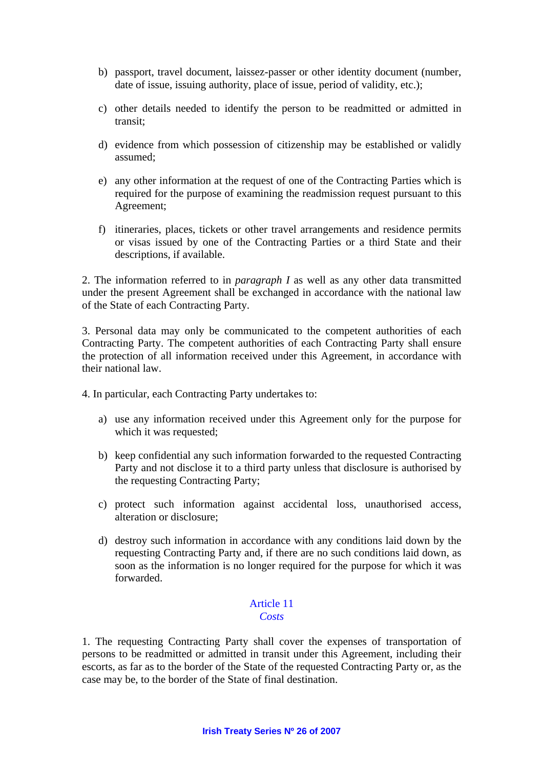- b) passport, travel document, laissez-passer or other identity document (number, date of issue, issuing authority, place of issue, period of validity, etc.);
- c) other details needed to identify the person to be readmitted or admitted in transit;
- d) evidence from which possession of citizenship may be established or validly assumed;
- e) any other information at the request of one of the Contracting Parties which is required for the purpose of examining the readmission request pursuant to this Agreement;
- f) itineraries, places, tickets or other travel arrangements and residence permits or visas issued by one of the Contracting Parties or a third State and their descriptions, if available.

2. The information referred to in *paragraph I* as well as any other data transmitted under the present Agreement shall be exchanged in accordance with the national law of the State of each Contracting Party.

3. Personal data may only be communicated to the competent authorities of each Contracting Party. The competent authorities of each Contracting Party shall ensure the protection of all information received under this Agreement, in accordance with their national law.

4. In particular, each Contracting Party undertakes to:

- a) use any information received under this Agreement only for the purpose for which it was requested;
- b) keep confidential any such information forwarded to the requested Contracting Party and not disclose it to a third party unless that disclosure is authorised by the requesting Contracting Party;
- c) protect such information against accidental loss, unauthorised access, alteration or disclosure;
- d) destroy such information in accordance with any conditions laid down by the requesting Contracting Party and, if there are no such conditions laid down, as soon as the information is no longer required for the purpose for which it was forwarded.

#### Article 11 *Costs*

1. The requesting Contracting Party shall cover the expenses of transportation of persons to be readmitted or admitted in transit under this Agreement, including their escorts, as far as to the border of the State of the requested Contracting Party or, as the case may be, to the border of the State of final destination.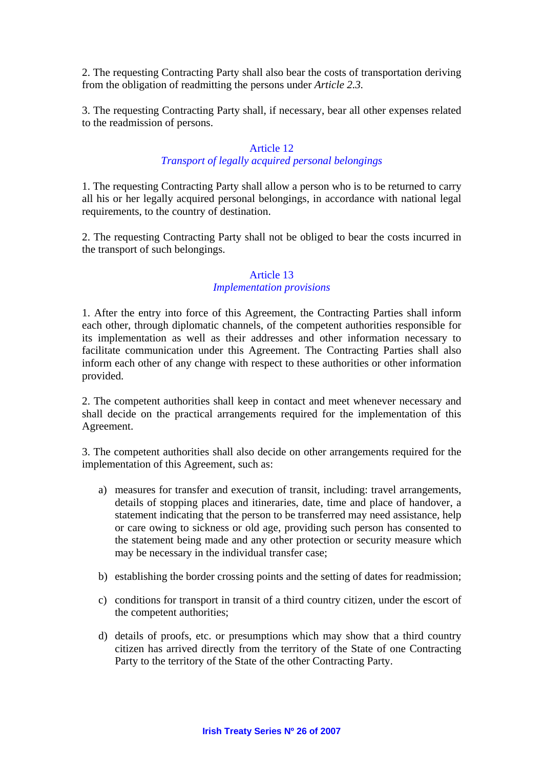2. The requesting Contracting Party shall also bear the costs of transportation deriving from the obligation of readmitting the persons under *Article 2.3.* 

3. The requesting Contracting Party shall, if necessary, bear all other expenses related to the readmission of persons.

## Article 12

## *Transport of legally acquired personal belongings*

1. The requesting Contracting Party shall allow a person who is to be returned to carry all his or her legally acquired personal belongings, in accordance with national legal requirements, to the country of destination.

2. The requesting Contracting Party shall not be obliged to bear the costs incurred in the transport of such belongings.

## Article 13 *Implementation provisions*

1. After the entry into force of this Agreement, the Contracting Parties shall inform each other, through diplomatic channels, of the competent authorities responsible for its implementation as well as their addresses and other information necessary to facilitate communication under this Agreement. The Contracting Parties shall also inform each other of any change with respect to these authorities or other information provided.

2. The competent authorities shall keep in contact and meet whenever necessary and shall decide on the practical arrangements required for the implementation of this Agreement.

3. The competent authorities shall also decide on other arrangements required for the implementation of this Agreement, such as:

- a) measures for transfer and execution of transit, including: travel arrangements, details of stopping places and itineraries, date, time and place of handover, a statement indicating that the person to be transferred may need assistance, help or care owing to sickness or old age, providing such person has consented to the statement being made and any other protection or security measure which may be necessary in the individual transfer case;
- b) establishing the border crossing points and the setting of dates for readmission;
- c) conditions for transport in transit of a third country citizen, under the escort of the competent authorities;
- d) details of proofs, etc. or presumptions which may show that a third country citizen has arrived directly from the territory of the State of one Contracting Party to the territory of the State of the other Contracting Party.